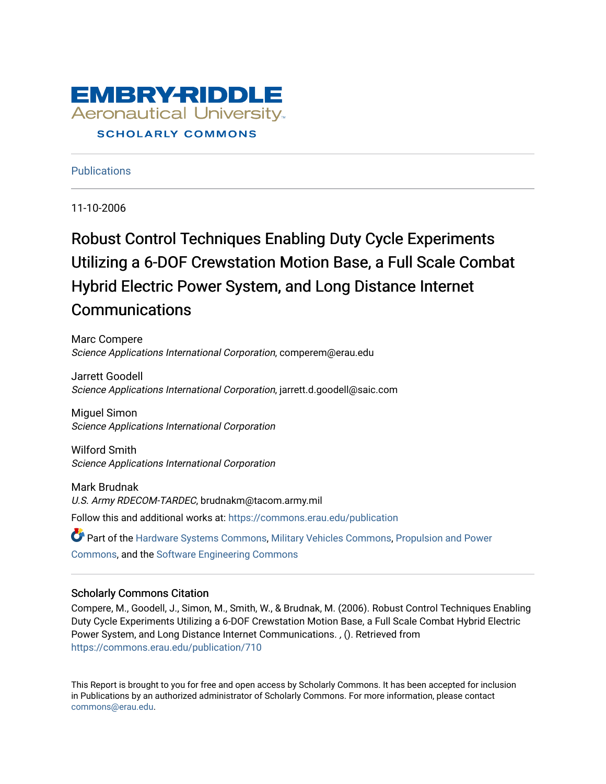

**Publications** 

11-10-2006

# Robust Control Techniques Enabling Duty Cycle Experiments Utilizing a 6-DOF Crewstation Motion Base, a Full Scale Combat Hybrid Electric Power System, and Long Distance Internet Communications

Marc Compere Science Applications International Corporation, comperem@erau.edu

Jarrett Goodell Science Applications International Corporation, jarrett.d.goodell@saic.com

Miguel Simon Science Applications International Corporation

Wilford Smith Science Applications International Corporation

Mark Brudnak U.S. Army RDECOM-TARDEC, brudnakm@tacom.army.mil Follow this and additional works at: [https://commons.erau.edu/publication](https://commons.erau.edu/publication?utm_source=commons.erau.edu%2Fpublication%2F710&utm_medium=PDF&utm_campaign=PDFCoverPages) 

Part of the [Hardware Systems Commons,](http://network.bepress.com/hgg/discipline/263?utm_source=commons.erau.edu%2Fpublication%2F710&utm_medium=PDF&utm_campaign=PDFCoverPages) [Military Vehicles Commons,](http://network.bepress.com/hgg/discipline/1408?utm_source=commons.erau.edu%2Fpublication%2F710&utm_medium=PDF&utm_campaign=PDFCoverPages) [Propulsion and Power](http://network.bepress.com/hgg/discipline/225?utm_source=commons.erau.edu%2Fpublication%2F710&utm_medium=PDF&utm_campaign=PDFCoverPages) [Commons](http://network.bepress.com/hgg/discipline/225?utm_source=commons.erau.edu%2Fpublication%2F710&utm_medium=PDF&utm_campaign=PDFCoverPages), and the [Software Engineering Commons](http://network.bepress.com/hgg/discipline/150?utm_source=commons.erau.edu%2Fpublication%2F710&utm_medium=PDF&utm_campaign=PDFCoverPages)

#### Scholarly Commons Citation

Compere, M., Goodell, J., Simon, M., Smith, W., & Brudnak, M. (2006). Robust Control Techniques Enabling Duty Cycle Experiments Utilizing a 6-DOF Crewstation Motion Base, a Full Scale Combat Hybrid Electric Power System, and Long Distance Internet Communications. , (). Retrieved from [https://commons.erau.edu/publication/710](https://commons.erau.edu/publication/710?utm_source=commons.erau.edu%2Fpublication%2F710&utm_medium=PDF&utm_campaign=PDFCoverPages) 

This Report is brought to you for free and open access by Scholarly Commons. It has been accepted for inclusion in Publications by an authorized administrator of Scholarly Commons. For more information, please contact [commons@erau.edu](mailto:commons@erau.edu).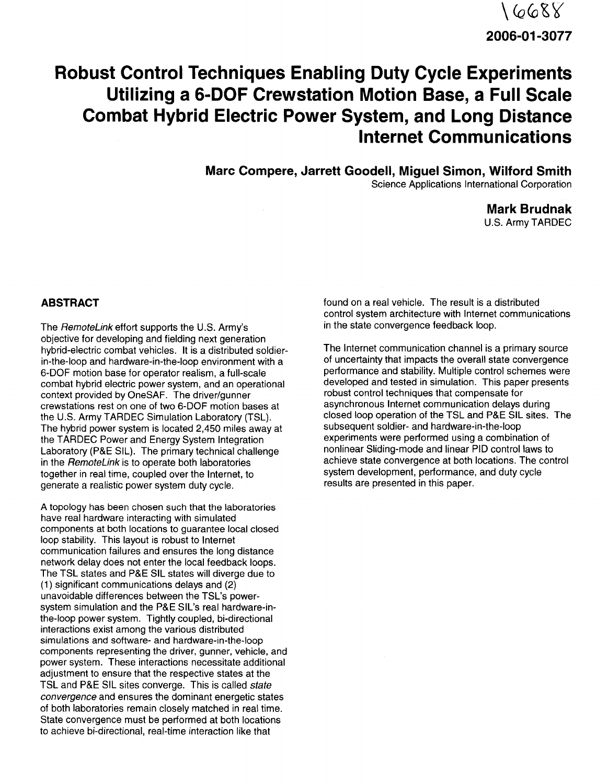# $16688$ **2006-01-3077**

# **Robust Control Techniques Enabling Duty Cycle Experiments Utilizing a 6-DOF Crewstation Motion Base, a Full Scale Combat Hybrid Electric Power System, and Long Distance Internet Communications**

**Marc Compere, Jarrett Goodell, Miguel Simon, Wilford Smith**

Science Applications International Corporation

**Mark Brudnak** u.s. Army TARDEC

#### **ABSTRACT**

The RemoteLink effort supports the U.S. Army's objective for developing and fielding next generation hybrid-electric combat vehicles. It is a distributed soldierin-the-Ioop and hardware-in-the-Ioop environment with a 6-DOF motion base for operator realism, a full-scale combat hybrid electric power system, and an operational context provided by OneSAF. The driver/gunner crewstations rest on one of two 6-DOF motion bases at the U.S. Army TARDEC Simulation Laboratory (TSL). The hybrid power system is located 2,450 miles away at the TARDEC Power and Energy System Integration Laboratory (P&E SIL). The primary technical challenge in the RemoteLink is to operate both laboratories together in real time, coupled over the Internet, to generate a realistic power system duty cycle.

A topology has been chosen such that the laboratories have real hardware interacting with simulated components at both locations to guarantee local closed loop stability. This layout is robust to Internet communication failures and ensures the long distance network delay does not enter the local feedback loops. The TSL states and P&E SIL states will diverge due to (1) significant communications delays and (2) unavoidable differences between the TSL's powersystem simulation and the P&E SIL's real hardware-inthe-loop power system. Tightly coupled, bi-directional interactions exist among the various distributed simulations and software- and hardware-in-the-Ioop components representing the driver, gunner, vehicle, and power system. These interactions necessitate additional adjustment to ensure that the respective states at the TSL and P&E SIL sites converge. This is called state convergence and ensures the dominant energetic states of both laboratories remain closely matched in real time. State convergence must be performed at both locations to achieve bi-directional, real-time interaction like that

found on a real vehicle. The result is a distributed control system architecture with Internet communications in the state convergence feedback loop.

The Internet communication channel is a primary source of uncertainty that impacts the overall state convergence performance and stability. Multiple control schemes were developed and tested in simulation. This paper presents robust control techniques that compensate for asynchronous Internet communication delays during closed loop operation of the TSL and P&E SIL sites. The subsequent soldier- and hardware-in-the-Ioop experiments were performed using a combination of nonlinear Sliding-mode and linear PID control laws to achieve state convergence at both locations. The control system development, performance, and duty cycle results are presented in this paper.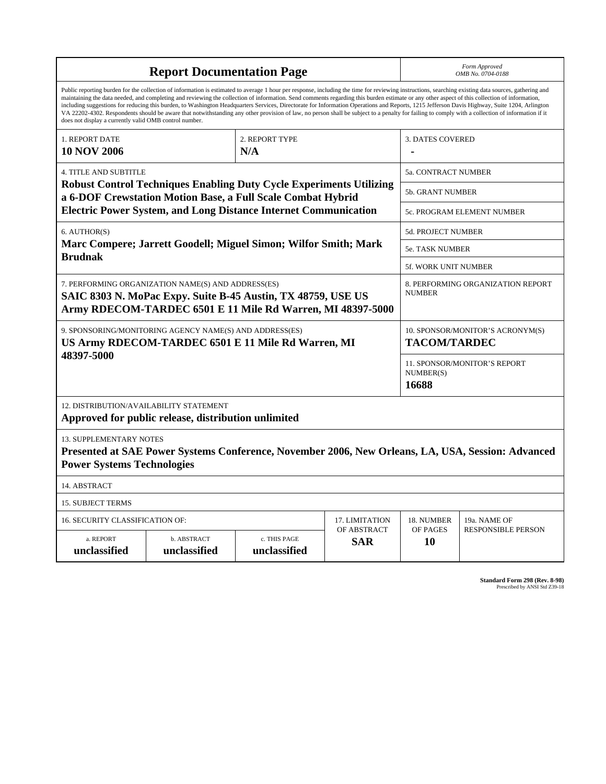| <b>Report Documentation Page</b>                                                                                                                                                                                                                                                                                                                                                                                                                                                                                                                                                                                                                                                                                                                                                                                                                                   |                             |                              |     | Form Approved<br>OMB No. 0704-0188                      |                                           |
|--------------------------------------------------------------------------------------------------------------------------------------------------------------------------------------------------------------------------------------------------------------------------------------------------------------------------------------------------------------------------------------------------------------------------------------------------------------------------------------------------------------------------------------------------------------------------------------------------------------------------------------------------------------------------------------------------------------------------------------------------------------------------------------------------------------------------------------------------------------------|-----------------------------|------------------------------|-----|---------------------------------------------------------|-------------------------------------------|
| Public reporting burden for the collection of information is estimated to average 1 hour per response, including the time for reviewing instructions, searching existing data sources, gathering and<br>maintaining the data needed, and completing and reviewing the collection of information. Send comments regarding this burden estimate or any other aspect of this collection of information,<br>including suggestions for reducing this burden, to Washington Headquarters Services, Directorate for Information Operations and Reports, 1215 Jefferson Davis Highway, Suite 1204, Arlington<br>VA 22202-4302. Respondents should be aware that notwithstanding any other provision of law, no person shall be subject to a penalty for failing to comply with a collection of information if it<br>does not display a currently valid OMB control number. |                             |                              |     |                                                         |                                           |
| 1. REPORT DATE<br><b>10 NOV 2006</b>                                                                                                                                                                                                                                                                                                                                                                                                                                                                                                                                                                                                                                                                                                                                                                                                                               | 2. REPORT TYPE<br>N/A       |                              |     | <b>3. DATES COVERED</b>                                 |                                           |
| <b>4. TITLE AND SUBTITLE</b>                                                                                                                                                                                                                                                                                                                                                                                                                                                                                                                                                                                                                                                                                                                                                                                                                                       |                             |                              |     | 5a. CONTRACT NUMBER                                     |                                           |
| <b>Robust Control Techniques Enabling Duty Cycle Experiments Utilizing</b><br>a 6-DOF Crewstation Motion Base, a Full Scale Combat Hybrid                                                                                                                                                                                                                                                                                                                                                                                                                                                                                                                                                                                                                                                                                                                          |                             |                              |     | 5b. GRANT NUMBER                                        |                                           |
| <b>Electric Power System, and Long Distance Internet Communication</b>                                                                                                                                                                                                                                                                                                                                                                                                                                                                                                                                                                                                                                                                                                                                                                                             |                             |                              |     | 5c. PROGRAM ELEMENT NUMBER                              |                                           |
| 6. AUTHOR(S)<br>Marc Compere; Jarrett Goodell; Miguel Simon; Wilfor Smith; Mark<br><b>Brudnak</b>                                                                                                                                                                                                                                                                                                                                                                                                                                                                                                                                                                                                                                                                                                                                                                  |                             |                              |     | 5d. PROJECT NUMBER                                      |                                           |
|                                                                                                                                                                                                                                                                                                                                                                                                                                                                                                                                                                                                                                                                                                                                                                                                                                                                    |                             |                              |     | <b>5e. TASK NUMBER</b>                                  |                                           |
|                                                                                                                                                                                                                                                                                                                                                                                                                                                                                                                                                                                                                                                                                                                                                                                                                                                                    |                             |                              |     | <b>5f. WORK UNIT NUMBER</b>                             |                                           |
| 7. PERFORMING ORGANIZATION NAME(S) AND ADDRESS(ES)<br>SAIC 8303 N. MoPac Expy. Suite B-45 Austin, TX 48759, USE US<br>Army RDECOM-TARDEC 6501 E 11 Mile Rd Warren, MI 48397-5000                                                                                                                                                                                                                                                                                                                                                                                                                                                                                                                                                                                                                                                                                   |                             |                              |     | 8. PERFORMING ORGANIZATION REPORT<br><b>NUMBER</b>      |                                           |
| 9. SPONSORING/MONITORING AGENCY NAME(S) AND ADDRESS(ES)<br>US Army RDECOM-TARDEC 6501 E 11 Mile Rd Warren, MI<br>48397-5000                                                                                                                                                                                                                                                                                                                                                                                                                                                                                                                                                                                                                                                                                                                                        |                             |                              |     | 10. SPONSOR/MONITOR'S ACRONYM(S)<br><b>TACOM/TARDEC</b> |                                           |
|                                                                                                                                                                                                                                                                                                                                                                                                                                                                                                                                                                                                                                                                                                                                                                                                                                                                    |                             |                              |     | 11. SPONSOR/MONITOR'S REPORT<br>NUMBER(S)<br>16688      |                                           |
| 12. DISTRIBUTION/AVAILABILITY STATEMENT<br>Approved for public release, distribution unlimited                                                                                                                                                                                                                                                                                                                                                                                                                                                                                                                                                                                                                                                                                                                                                                     |                             |                              |     |                                                         |                                           |
| <b>13. SUPPLEMENTARY NOTES</b><br>Presented at SAE Power Systems Conference, November 2006, New Orleans, LA, USA, Session: Advanced<br><b>Power Systems Technologies</b>                                                                                                                                                                                                                                                                                                                                                                                                                                                                                                                                                                                                                                                                                           |                             |                              |     |                                                         |                                           |
| 14. ABSTRACT                                                                                                                                                                                                                                                                                                                                                                                                                                                                                                                                                                                                                                                                                                                                                                                                                                                       |                             |                              |     |                                                         |                                           |
| <b>15. SUBJECT TERMS</b>                                                                                                                                                                                                                                                                                                                                                                                                                                                                                                                                                                                                                                                                                                                                                                                                                                           |                             |                              |     |                                                         |                                           |
| 16. SECURITY CLASSIFICATION OF:<br>17. LIMITATION<br>OF ABSTRACT                                                                                                                                                                                                                                                                                                                                                                                                                                                                                                                                                                                                                                                                                                                                                                                                   |                             |                              |     | 18. NUMBER<br>OF PAGES                                  | 19a. NAME OF<br><b>RESPONSIBLE PERSON</b> |
| a. REPORT<br>unclassified                                                                                                                                                                                                                                                                                                                                                                                                                                                                                                                                                                                                                                                                                                                                                                                                                                          | b. ABSTRACT<br>unclassified | c. THIS PAGE<br>unclassified | SAR | 10                                                      |                                           |

**Standard Form 298 (Rev. 8-98)**<br>Prescribed by ANSI Std Z39-18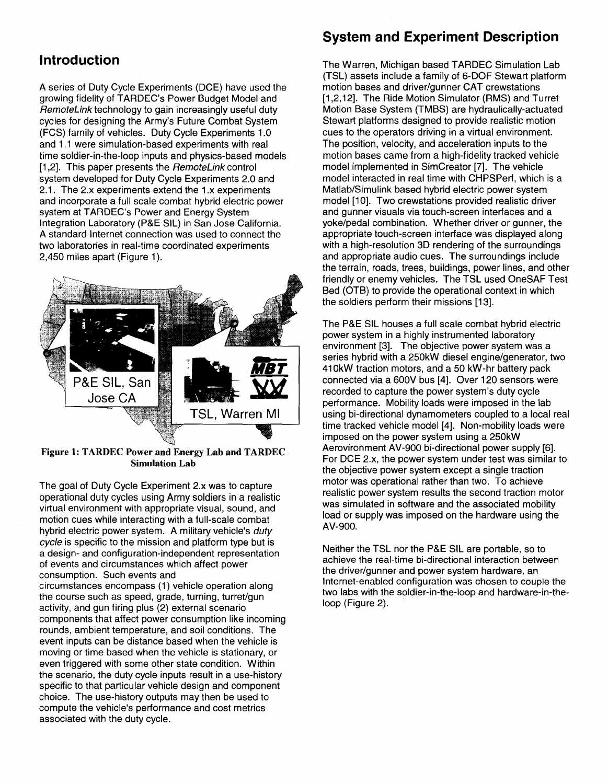# **Introduction**

A series of Duty Cycle Experiments (DCE) have used the growing fidelity of TARDEC's Power Budget Model and RemoteLink technology to gain increasingly useful duty cycles for designing the Army's Future Combat System (FCS) family of vehicles. Duty Cycle Experiments 1.0 and 1.1 were simulation-based experiments with real time soldier-in-the-Ioop inputs and physics-based models [1,2]. This paper presents the RemoteLink control system developed for Duty Cycle Experiments 2.0 and 2.1. The 2.x experiments extend the 1.x experiments and incorporate a full scale combat hybrid electric power system at TARDEC's Power and Energy System Integration Laboratory (P&E SIL) in San Jose California. A standard Internet connection was used to connect the two laboratories in real-time coordinated experiments 2,450 miles apart (Figure 1).



Figure 1: TARDEC Power and Energy Lab and TARDEC Simulation Lab

The goal of Duty Cycle Experiment 2.x was to capture operational duty cycles using Army soldiers in a realistic virtual environment with appropriate Visual, sound, and motion cues while interacting with a full-scale combat hybrid electric power system. A military vehicle's duty cycle is specific to the mission and platform type but is a design- and configuration-independent representation of events and circumstances which affect power consumption. Such events and circumstances encompass (1) vehicle operation along the course such as speed, grade, turning, turret/gun activity, and gun firing plus (2) external scenario components that affect power consumption like incoming rounds, ambient temperature, and soil conditions. The event inputs can be distance based when the vehicle is moving or time based when the vehicle is stationary, or even triggered with some other state condition. Within the scenario, the duty cycle inputs result in a use-history specific to that particular vehicle design and component choice. The use-history outputs may then be used to compute the vehicle's performance and cost metrics associated with the duty cycle.

## **System and Experiment Description**

The Warren, Michigan based TARDEC Simulation Lab (TSL) assets include a family of 6-DOF Stewart platform motion bases and driver/gunner CAT crewstations [1,2,12]. The Ride Motion Simulator (RMS) and Turret Motion Base System (TMBS) are hydraulically-actuated Stewart platforms designed to provide realistic motion cues to the operators driving in a virtual environment. The position, velocity, and acceleration inputs to the motion bases came from a high-fidelity tracked vehicle model implemented in SimCreator [7]. The vehicle model interacted in real time with CHPSPerf, which is a Matlab/Simulink based hybrid electric power system model [10]. Two crewstations provided realistic driver and gunner visuals via touch-screen interfaces and a yoke/pedal combination. Whether driver or gunner, the appropriate touch-screen interface was displayed along with a high-resolution 3D rendering of the surroundings and appropriate audio cues. The surroundings include the terrain, roads, trees, buildings, power lines, and other friendly or enemy vehicles. The TSL used OneSAF Test Bed (OTB) to provide the operational context in which the soldiers perform their missions [13].

The P&E SIL houses a full scale combat hybrid electric power system in a highly instrumented laboratory environment [3]. The objective power system was a series hybrid with a 250kW diesel engine/generator, two 410kW traction motors, and a 50 kW-hr battery pack connected via a 600V bus [4]. Over 120 sensors were recorded to capture the power system's duty cycle performance. Mobility loads were imposed in the lab using bi-directional dynamometers coupled to a local real time tracked vehicle model [4]. Non-mobility loads were imposed on the power system using a 250kW Aerovironment AV-900 bi-directional power supply [6]. For DCE 2.x, the power system under test was similar to the objective power system except a single traction motor was operational rather than two. To achieve realistic power system results the second traction motor was simulated in software and the associated mobility load or supply was imposed on the hardware using the AV-900.

Neither the TSL nor the P&E SIL are portable, so to achieve the real-time bi-directional interaction between the driver/gunner and power system hardware, an Internet-enabled configuration was chosen to couple the two labs with the soldier-in-the-Ioop and hardware-in-theloop (Figure 2).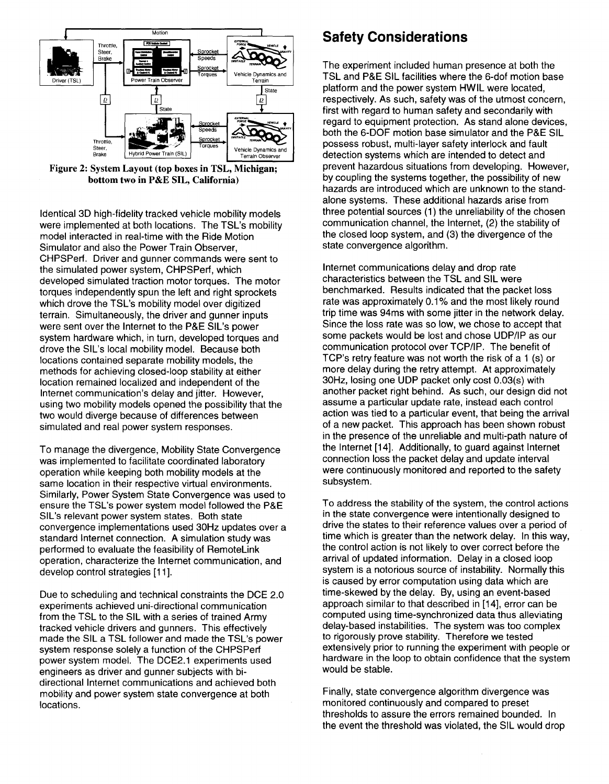

Figure 2: System Layout (top boxes in TSL, Michigan; bottom two in P&E SIL, California)

Identical 3D high-fidelity tracked vehicle mobility models were implemented at both locations. The TSL's mobility model interacted in real-time with the Ride Motion Simulator and also the Power Train Observer, CHPSPerf. Driver and gunner commands were sent to the simulated power system, CHPSPerf, which developed simulated traction motor torques. The motor torques independently spun the left and right sprockets which drove the TSL's mobility model over digitized terrain, Simultaneously, the driver and gunner inputs were sent over the Internet to the P&E SIL's power system hardware which, in turn, developed torques and drove the SIL's local mobility model. Because both locations contained separate mobility models, the methods for achieving closed-loop stability at either location remained localized and independent of the Internet communication's delay and jitter. However, using two mobility models opened the possibility that the two would diverge because of differences between simulated and real power system responses.

To manage the divergence, Mobility State Convergence was implemented to facilitate coordinated laboratory operation while keeping both mobility models at the same location in their respective virtual environments. Similarly, Power System State Convergence was used to ensure the TSL's power system model followed the P&E SIL's relevant power system states. Both state convergence implementations used 30Hz updates over a standard Internet connection. A simulation study was performed to evaluate the feasibility of RemoteLink operation, characterize the Internet communication, and develop control strategies [11].

Due to scheduling and technical constraints the DCE 2.0 experiments achieved uni-directional communication from the TSL to the SIL with a series of trained Army tracked vehicle drivers and gunners. This effectively made the SIL a TSL follower and made the TSL's power system response solely a function of the CHPSPerf power system model. The DCE2.1 experiments used engineers as driver and gunner subjects with bidirectional Internet communications and achieved both mobility and power system state convergence at both locations,

# **Safety Considerations**

The experiment included human presence at both the TSL and P&E SIL facilities where the 6-dof motion base platform and the power system HWIL were located, respectively. As such, safety was of the utmost concern, first with regard to human safety and secondarily with regard to equipment protection. As stand alone devices, both the 6-DOF motion base simulator and the P&E SIL possess robust, multi-layer safety interlock and fault detection systems which are intended to detect and prevent hazardous situations from developing. However, by coupling the systems together, the possibility of new hazards are introduced which are unknown to the standalone systems. These additional hazards arise from three potential sources (1) the unreliability of the chosen communication channel, the Internet, (2) the stability of the closed loop system, and (3) the divergence of the state convergence algorithm.

Internet communications delay and drop rate characteristics between the TSL and SIL were benchmarked. Results indicated that the packet loss rate was approximately 0.1% and the most likely round trip time was 94ms with some jitter in the network delay. Since the loss rate was so low, we chose to accept that some packets would be lost and chose UDP/IP as our communication protocol over TCP/IP. The benefit of TCP's retry feature was not worth the risk of a 1 (s) or more delay during the retry attempt. At approximately 30Hz, losing one UDP packet only cost 0.03(s) with another packet right behind. As SUCh, our design did not assume a particular update rate, instead each control action was tied to a particular event, that being the arrival of a new packet. This approach has been shown robust in the presence of the unreliable and multi-path nature of the Internet [14]. Additionally, to guard against Internet connection loss the packet delay and update interval were continuously monitored and reported to the safety subsystem.

To address the stability of the system, the control actions in the state convergence were intentionally designed to drive the states to their reference values over a period of time which is greater than the network delay. In this way, the control action is not likely to over correct before the arrival of updated information. Delay in a closed loop system is a notorious source of instability. Normally this is caused by error computation using data which are time-skewed by the delay. By, using an event-based approach similar to that described in [14], error can be computed using time-synchronized data thus alleviating delay-based instabilities. The system was too complex to rigorously prove stability. Therefore we tested extensively prior to running the experiment with people or hardware in the loop to obtain confidence that the system would be stable.

Finally, state convergence algorithm divergence was monitored continuously and compared to preset thresholds to assure the errors remained bounded. In the event the threshold was violated, the SIL would drop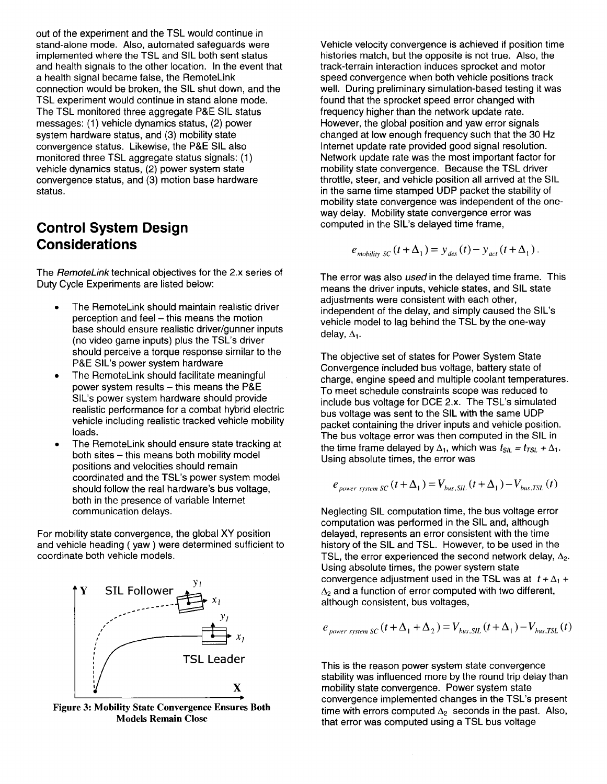out of the experiment and the TSL would continue in stand-alone mode. Also, automated safeguards were implemented where the TSL and SIL both sent status and health signals to the other location. In the event that a health signal became false, the RemoteLink connection would be broken, the SIL shut down, and the TSL experiment would continue in stand alone mode. The TSL monitored three aggregate P&E SIL status messages: (1) vehicle dynamics status, (2) power system hardware status, and (3) mobility state convergence status. Likewise, the P&E SIL also monitored three TSL aggregate status signals: (1) vehicle dynamics status, (2) power system state convergence status, and (3) motion base hardware status.

# **Control System Design Considerations**

The *RemoteLink* technical objectives for the 2.x series of Duty Cycle Experiments are listed below:

- The RemoteLink should maintain realistic driver perception and feel - this means the motion base should ensure realistic driver/gunner inputs (no video game inputs) plus the TSL's driver should perceive a torque response similar to the P&E SIL's power system hardware
- The RemoteLink should facilitate meaningful power system results  $-$  this means the P&E SIL's power system hardware should provide realistic performance for a combat hybrid electric vehicle including realistic tracked vehicle mobility loads.
- The RemoteLink should ensure state tracking at both sites - this means both mobility model positions and velocities should remain coordinated and the TSL's power system model should follow the real hardware's bus voltage, both in the presence of variable Internet communication delays.

For mobility state convergence, the global XY position and vehicle heading ( yaw) were determined sufficient to coordinate both vehicle models.



Figure 3: Mobility State Convergence Ensures Both Models Remain Close

Vehicle velocity convergence is achieved if position time histories match, but the opposite is not true. Also, the track-terrain interaction induces sprocket and motor speed convergence when both vehicle positions track well. During preliminary simulation-based testing it was found that the sprocket speed error changed with frequency higher than the network update rate. However, the global position and yaw error signals changed at low enough frequency such that the 30 Hz Internet update rate provided good signal resolution. Network update rate was the most important factor for mobility state convergence. Because the TSL driver throttle, steer, and vehicle position all arrived at the SIL in the same time stamped UDP packet the stability of mobility state convergence was independent of the oneway delay. Mobility state convergence error was computed in the SIL's delayed time frame,

$$
e_{\text{mobility SC}}(t+\Delta_1) = y_{\text{des}}(t) - y_{\text{act}}(t+\Delta_1).
$$

The error was also used in the delayed time frame. This means the driver inputs, vehicle states, and SIL state adjustments were consistent with each other, independent of the delay, and simply caused the SIL's vehicle model to lag behind the TSL by the one-way delay,  $\Delta_1$ .

The objective set of states for Power System State Convergence included bus voltage, battery state of charge, engine speed and multiple coolant temperatures. To meet schedule constraints scope was reduced to include bus voltage for DCE 2.x. The TSL's simulated bus voltage was sent to the SIL with the same UDP packet containing the driver inputs and vehicle position. The bus voltage error was then computed in the SIL in the time frame delayed by  $\Delta_1$ , which was  $t_{\text{SIL}} = t_{\text{TSL}} + \Delta_1$ . Using absolute times, the error was

$$
e_{power\ system\ SC}\left(t+\Delta_{1}\right)=V_{bus,\,SIL}\left(t+\Delta_{1}\right)-V_{bus,\,TSL}\left(t\right)
$$

Neglecting SIL computation time, the bus voltage error computation was performed in the SIL and, although delayed, represents an error consistent with the time history of the SIL and TSL. However, to be used in the TSL, the error experienced the second network delay,  $\Delta_2$ . Using absolute times, the power system state convergence adjustment used in the TSL was at  $t + \Delta_1$  +  $\Delta_2$  and a function of error computed with two different, although consistent, bus voltages,

$$
e_{power\ system\ SC}(t+\Delta_1+\Delta_2)=V_{bus, SIL}(t+\Delta_1)-V_{bus,TSL}(t)
$$

This is the reason power system state convergence stability was influenced more by the round trip delay than mobility state convergence. Power system state convergence implemented changes in the TSL's present time with errors computed  $\Delta_2$  seconds in the past. Also, that error was computed using a TSL bus voltage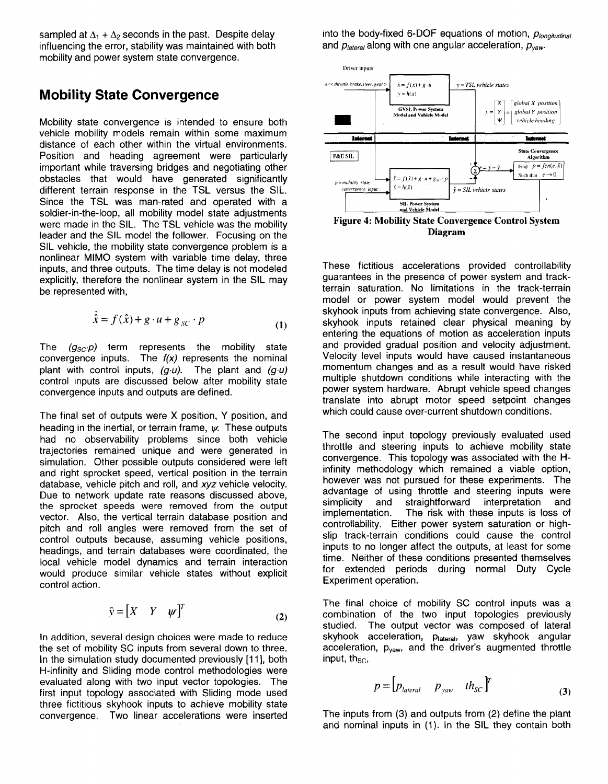sampled at  $\Delta_1 + \Delta_2$  seconds in the past. Despite delay influencing the error, stability was maintained with both mobility and power system state convergence.

#### **Mobility State Convergence**

Mobility state convergence is intended to ensure both vehicle mobility models remain within some maximum distance of each other within the virtual environments. Position and heading agreement were particularly important while traversing bridges and negotiating other obstacles that would have generated significantly different terrain response in the TSL versus the SIL. Since the TSL was man-rated and operated with a soldier-in-the-loop, all mobility model state adjustments were made in the SIL. The TSL vehicle was the mobility leader and the SIL model the follower. Focusing on the SIL vehicle, the mobility state convergence problem is a nonlinear MIMO system with variable time delay, three inputs, and three outputs. The time delay is not modeled explicitly, therefore the nonlinear system in the SIL may be represented with,

$$
\dot{\hat{x}} = f(\hat{x}) + g \cdot u + g_{SC} \cdot p \tag{1}
$$

The  $(g_{SC}p)$  term represents the mobility state convergence inputs. The  $f(x)$  represents the nominal plant with control inputs,  $(g \cdot u)$ . The plant and  $(g \cdot u)$ control inputs are discussed below after mobility state convergence inputs and outputs are defined.

The final set of outputs were X position, Y position, and heading in the inertial, or terrain frame,  $\psi$ . These outputs had no observability problems since both vehicle trajectories remained unique and were generated in simulation. Other possible outputs considered were left and right sprocket speed, vertical position in the terrain database, vehicle pitch and roll, and xyz vehicle velocity. Due to network update rate reasons discussed above, the sprocket speeds were removed from the output vector. Also, the vertical terrain database position and pitch and roll angles were removed from the set of control outputs because, assuming vehicle positions, headings, and terrain databases were coordinated, the local vehicle model dynamics and terrain interaction would produce similar vehicle states without explicit control action.

$$
\hat{\mathbf{y}} = \begin{bmatrix} X & Y & \psi \end{bmatrix}^T \tag{2}
$$

In addition, several design choices were made to reduce the set of mobility SC inputs from several down to three. In the simulation study documented previously [11], both H-infinity and Sliding mode control methodologies were evaluated along with two input vector topologies. The first input topology associated with Sliding mode used three fictitious skyhook inputs to achieve mobility state convergence. Two linear accelerations were inserted The inputs from (3) and outputs from (2) define the plant

into the body-fixed 6-DOF equations of motion, *Plongitudinal* and *P'atera'* along with one angular acceleration, *Pyaw.*



Figure 4: Mobility State Convergence Control System Diagram

These fictitious accelerations provided controllability guarantees in the presence of power system and trackterrain saturation. No limitations in the track-terrain model or power system model would prevent the skyhook inputs from achieving state convergence. Also, skyhook inputs retained clear physical meaning by entering the equations of motion as acceleration inputs and provided gradual position and velocity adjustment. Velocity level inputs would have caused instantaneous momentum changes and as a result would have risked multiple shutdown conditions while interacting with the power system hardware. Abrupt vehicle speed changes translate into abrupt motor speed setpoint changes which could cause over-current shutdown conditions.

The second input topology previously evaluated used throttle and steering inputs to achieve mobility state convergence. This topology was associated with the Hinfinity methodology which remained a viable option, however was not pursued for these experiments. The advantage of using throttle and steering inputs were simplicity and straightforward interpretation and<br>implementation. The risk with these inputs is loss of The risk with these inputs is loss of controllability. Either power system saturation or highslip track-terrain conditions could cause the control inputs to no longer affect the outputs, at least for some time. Neither of these conditions presented themselves for extended periods during normal Duty Cycle Experiment operation.

The final choice of mobility SC control inputs was a combination of the two input topologies previously studied. The output vector was composed of lateral skyhook acceleration, plateral, yaw skyhook angular acceleration, p<sub>vaw</sub>, and the driver's augmented throttle input, th $_{\rm SC}$ ,

$$
p = \begin{bmatrix} p_{\text{lateral}} & p_{\text{yaw}} & th_{\text{SC}} \end{bmatrix}^T \tag{3}
$$

and nominal inputs in (1). In the SIL they contain both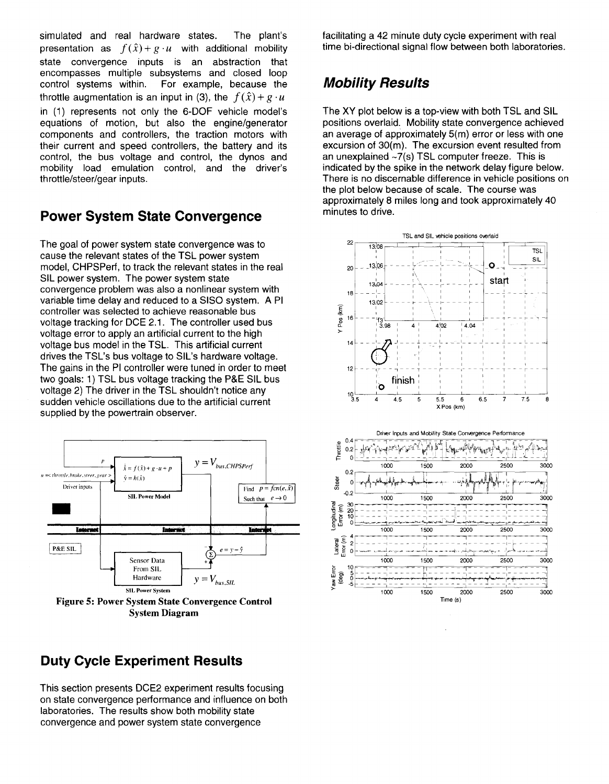The plant's simulated and real hardware states. presentation as  $f(\hat{x}) + g \cdot u$  with additional mobility state convergence inputs is an abstraction that encompasses multiple subsystems and closed loop control systems within. For example, because the throttle augmentation is an input in (3), the  $f(\hat{x}) + g \cdot u$ in (1) represents not only the 6-DOF vehicle model's equations of motion, but also the engine/generator components and controllers, the traction motors with their current and speed controllers, the battery and its control, the bus voltage and control, the dynos and mobility load emulation control, and the driver's throttle/steer/gear inputs.

## **Power System State Convergence**

The goal of power system state convergence was to cause the relevant states of the TSL power system model, CHPSPerf, to track the relevant states in the real SIL power system. The power system state convergence problem was also a nonlinear system with variable time delay and reduced to a SISO system. A PI controller was selected to achieve reasonable bus voltage tracking for DCE 2.1. The controller used bus voltage error to apply an artificial current to the high voltage bus model in the TSL. This artificial current drives the TSL's bus voltage to SIL's hardware voltage. The gains in the PI controller were tuned in order to meet two goals: 1) TSL bus voltage tracking the P&E SIL bus voltage 2) The driver in the TSL shouldn't notice any sudden vehicle oscillations due to the artificial current supplied by the powertrain observer.



# **Duty Cycle Experiment Results**

This section presents DCE2 experiment results focusing on state convergence performance and influence on both laboratories. The results show both mobility state convergence and power system state convergence

facilitating a 42 minute duty cycle experiment with real time bi-directional signal flow between both laboratories.

# **Mobility Results**

The XY plot below is a top-view with both TSL and SIL positions overlaid. Mobility state convergence achieved an average of approximately 5(m) error or less with one excursion of 30(m). The excursion event resulted from an unexplained ~7(s) TSL computer freeze. This is indicated by the spike in the network delay figure below. There is no discernable difference in vehicle positions on the plot below because of scale. The course was approximately 8 miles long and took approximately 40 minutes to drive.

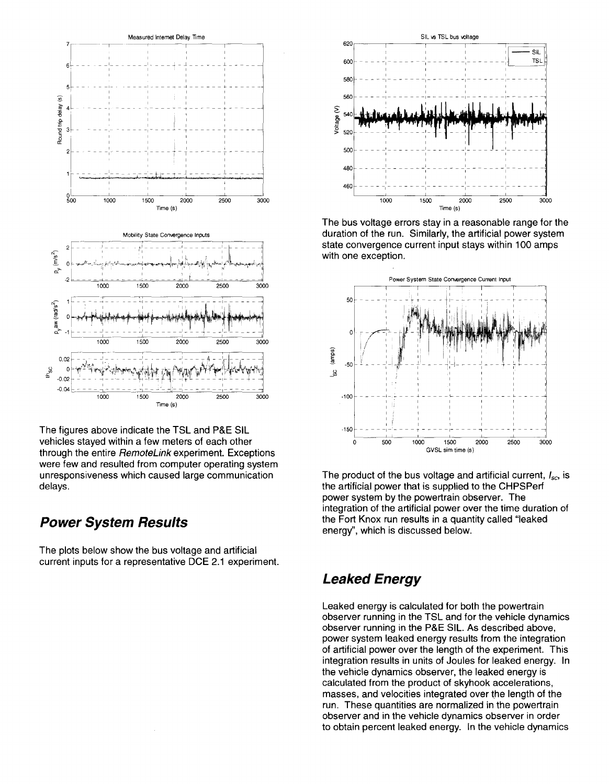

The figures above indicate the TSL and P&E SIL vehicles stayed within a few meters of each other through the entire RemoteLink experiment. Exceptions were few and resulted from computer operating system unresponsiveness which caused large communication delays.

### **Power System Results**

The plots below show the bus voltage and artificial current inputs for a representative DCE 2.1 experiment.



The bus voltage errors stay in a reasonable range for the duration of the run. Similarly, the artificial power system state convergence current input stays within 100 amps with one exception.



The product of the bus voltage and artificial current,  $I_{\rm sc}$  is the artificial power that is supplied to the CHPSPerf power system by the powertrain observer. The integration of the artificial power over the time duration of the Fort Knox run results in a quantity called "leaked" energy", which is discussed below.

## **Leaked Energy**

Leaked energy is calculated for both the powertrain observer running in the TSL and for the vehicle dynamics observer running in the P&E SIL. As described above, power system leaked energy results from the integration of artificial power over the length of the experiment. This integration results in units of Joules for leaked energy. In the vehicle dynamics observer, the leaked energy is calculated from the product of skyhook accelerations, masses, and velocities integrated over the length of the run. These quantities are normalized in the powertrain observer and in the vehicle dynamics observer in order to obtain percent leaked energy. In the vehicle dynamics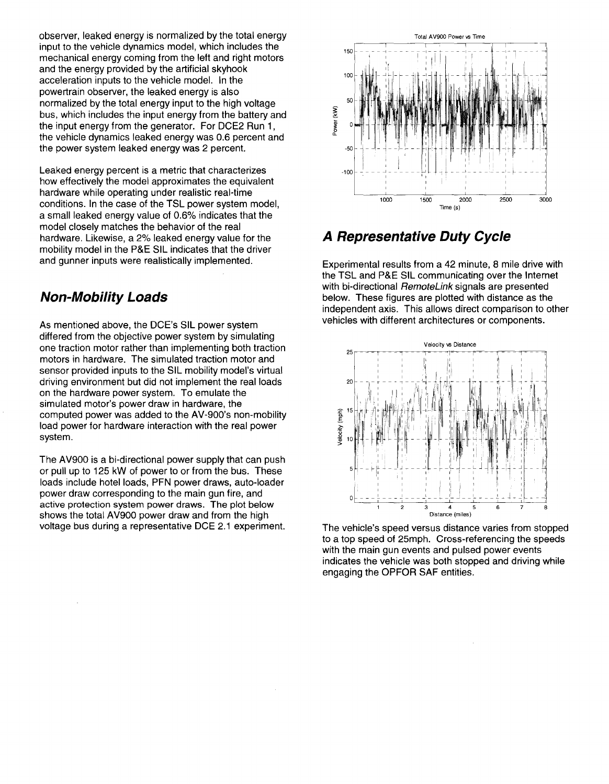observer, leaked energy is normalized by the total energy input to the vehicle dynamics model, which includes the mechanical energy coming from the left and right motors and the energy provided by the artificial skyhook acceleration inputs to the vehicle model. In the powertrain observer, the leaked energy is also normalized by the total energy input to the high voltage bus, which includes the input energy from the battery and the input energy from the generator. For DCE2 Run 1, the vehicle dynamics leaked energy was 0.6 percent and the power system leaked energy was 2 percent.

Leaked energy percent is a metric that characterizes how effectively the model approximates the equivalent hardware while operating under realistic real-time conditions. In the case of the TSL power system model, a small leaked energy value of 0.6% indicates that the model closely matches the behavior of the real hardware. Likewise, a 2% leaked energy value for the mobility model in the P&E SIL indicates that the driver and gunner inputs were realistically implemented.

### **Non-Mobility Loads**

As mentioned above, the DCE's SIL power system differed from the objective power system by simulating one traction motor rather than implementing both traction motors in hardware. The simulated traction motor and sensor provided inputs to the SIL mobility model's virtual driving environment but did not implement the real loads on the hardware power system. To emulate the simulated motor's power draw in hardware, the computed power was added to the AV-900's non-mobility load power for hardware interaction with the real power system.

The AV900 is a bi-directional power supply that can push or pull up to 125 kW of power to or from the bus. These loads include hotel loads, PFN power draws, auto-loader power draw corresponding to the main gun fire, and active protection system power draws. The plot below shows the total AV900 power draw and from the high voltage bus during a representative DCE 2.1 experiment.



# **A Representative Duty Cycle**

Experimental results from a 42 minute, 8 mile drive with the TSL and P&E SIL communicating over the Internet with bi-directional *RemoteLink* signals are presented below. These figures are plotted with distance as the independent axis. This allows direct comparison to other vehicles with different architectures or components.



The vehicle's speed versus distance varies from stopped to a top speed of 25mph. Cross-referencing the speeds with the main gun events and pulsed power events indicates the vehicle was both stopped and driving while engaging the OPFOR SAF entities.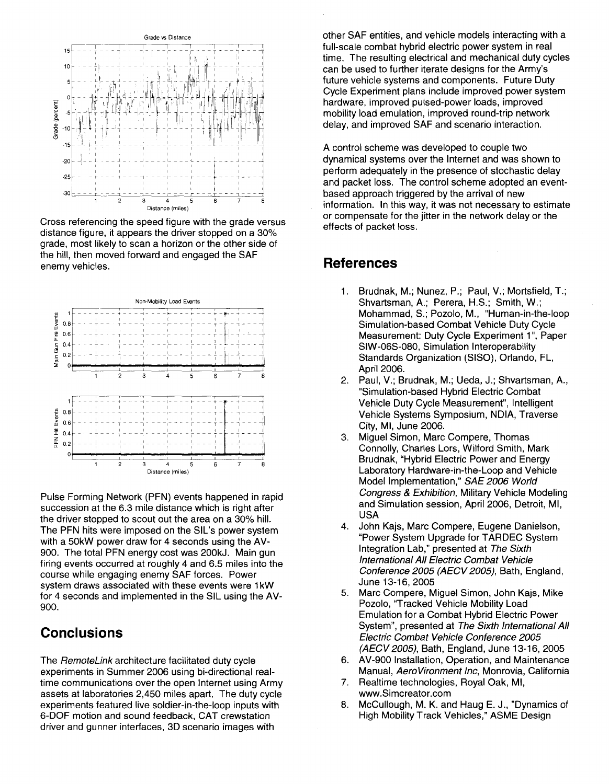

Cross referencing the speed figure with the grade versus distance figure, it appears the driver stopped on a 30% grade, most likely to scan a horizon or the other side of the hill, then moved forward and engaged the SAF enemy vehicles.



Pulse Forming Network (PFN) events happened in rapid succession at the 6.3 mile distance which is right after the driver stopped to scout out the area on a 30% hill. The PFN hits were imposed on the SIL's power system with a 50kW power draw for 4 seconds using the AV-900. The total PFN energy cost was 200kJ. Main gun firing events occurred at roughly 4 and 6.5 miles into the course while engaging enemy SAF forces. Power system draws associated with these events were 1kW for 4 seconds and implemented in the SIL using the AV-900.

## **Conclusions**

The RemoteLink architecture facilitated duty cycle experiments in Summer 2006 using bi-directional realtime communications over the open Internet using Army assets at laboratories 2,450 miles apart. The duty cycle experiments featured live soldier-in-the-Ioop inputs with 6-DOF motion and sound feedback, CAT crewstation driver and gunner interfaces, 3D scenario images with

other SAF entities, and vehicle models interacting with a full-scale combat hybrid electric power system in real time. The resulting electrical and mechanical duty cycles can be used to further iterate designs for the Army's future vehicle systems and components. Future Duty Cycle Experiment plans include improved power system hardware, improved pulsed-power loads, improved mobility load emulation, improved round-trip network delay, and improved SAF and scenario interaction.

A control scheme was developed to couple two dynamical systems over the Internet and was shown to perform adequately in the presence of stochastic delay and packet loss. The control scheme adopted an eventbased approach triggered by the arrival of new information. In this way, it was not necessary to estimate or compensate for the jitter in the network delay or the effects of packet loss.

### **References**

- 1. Brudnak, M.; Nunez, P.; Paul, V.; Mortsfield, T.; Shvartsman, A.; Perera, H.S.; Smith, W.; Mohammad, S.; Pozolo, M., "Human-in-the-Ioop Simulation-based Combat Vehicle Duty Cycle Measurement: Duty Cycle Experiment 1", Paper SIW-06S-080, Simulation Interoperability Standards Organization (SISO), Orlando, FL, April 2006.
- 2. Paul, V.; Brudnak, M.; Ueda, J.; Shvartsman, A., "Simulation-based Hybrid Electric Combat Vehicle Duty Cycle Measurement", Intelligent Vehicle Systems Symposium, NDIA, Traverse City, MI, June 2006.
- 3. Miguel Simon, Marc Compere, Thomas Connolly, Charles Lors, Wilford Smith, Mark Brudnak, "Hybrid Electric Power and Energy Laboratory Hardware-in-the-Loop and Vehicle Model Implementation," SAE 2006 World Congress & Exhibition, Military Vehicle Modeling and Simulation session, April 2006, Detroit, MI, USA
- 4. John Kajs, Marc Compere, Eugene Danielson, "Power System Upgrade for TARDEC System Integration Lab," presented at The Sixth International All Electric Combat Vehicle Conference 2005 (AECV 2005), Bath, England, June 13-16, 2005
- 5. Marc Compere, Miguel Simon, John Kajs, Mike Pozolo, "Tracked Vehicle Mobility Load Emulation for a Combat Hybrid Electric Power System", presented at The Sixth International All Electric Combat Vehicle Conference 2005 (AECV 2005), Bath, England, June 13-16, 2005
- 6. AV-900 Installation, Operation, and Maintenance Manual, AeroVironment Inc, Monrovia, California
- 7. Realtime technologies, Royal Oak, MI, www.Simcreator.com
- 8. McCullough, M. K. and Haug E. J., "Dynamics of High Mobility Track Vehicles," ASME Design